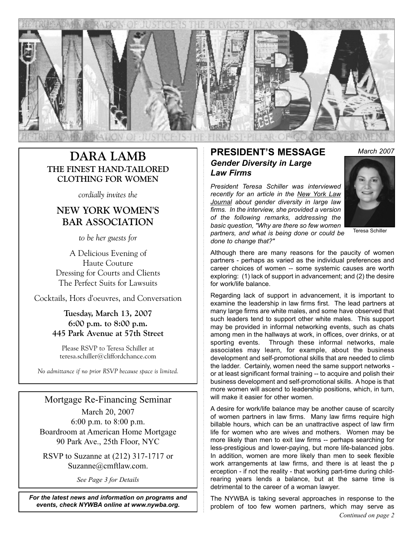

# **THE FINEST HAND-TAILORED CLOTHING FOR WOMEN**

*cordially invites the* 

## **NEW YORK WOMEN'S BAR ASSOCIATION**

*to be her guests for* 

A Delicious Evening of Haute Couture Dressing for Courts and Clients The Perfect Suits for Lawsuits

Cocktails, Hors d'oeuvres, and Conversation

#### **Tuesday, March 13, 2007 6:00 p.m. to 8:00 p.m. 445 Park Avenue at 57th Street**

Please RSVP to Teresa Schiller at teresa.schiller@cliffordchance.com

*No admittance if no prior RSVP because space is limited.*

### Mortgage Re-Financing Seminar

March 20, 2007 6:00 p.m. to 8:00 p.m. Boardroom at American Home Mortgage 90 Park Ave., 25th Floor, NYC

RSVP to Suzanne at (212) 317-1717 or Suzanne@cmftlaw.com.

*See Page 3 for Details*

*For the latest news and information on programs and events, check NYWBA online at www.nywba.org.*

### **PRESIDENT'S MESSAGE** March 2007<br>Conder Diversity in Lerge *Gender Diversity in Large Law Firms*

*President Teresa Schiller was interviewed recently for an article in the New York Law Journal about gender diversity in large law firms. In the interview, she provided a version of the following remarks, addressing the basic question, "Why are there so few women partners, and what is being done or could be done to change that?"*



Teresa Schiller

Although there are many reasons for the paucity of women partners - perhaps as varied as the individual preferences and career choices of women -- some systemic causes are worth exploring: (1) lack of support in advancement; and (2) the desire for work/life balance.

Regarding lack of support in advancement, it is important to examine the leadership in law firms first. The lead partners at many large firms are white males, and some have observed that such leaders tend to support other white males. This support may be provided in informal networking events, such as chats among men in the hallways at work, in offices, over drinks, or at sporting events. Through these informal networks, male associates may learn, for example, about the business development and self-promotional skills that are needed to climb the ladder. Certainly, women need the same support networks or at least significant formal training -- to acquire and polish their business development and self-promotional skills. A hope is that more women will ascend to leadership positions, which, in turn, will make it easier for other women.

A desire for work/life balance may be another cause of scarcity of women partners in law firms. Many law firms require high billable hours, which can be an unattractive aspect of law firm life for women who are wives and mothers. Women may be more likely than men to exit law firms -- perhaps searching for less-prestigious and lower-paying, but more life-balanced jobs. In addition, women are more likely than men to seek flexible work arrangements at law firms, and there is at least the p erception - if not the reality - that working part-time during childrearing years lends a balance, but at the same time is detrimental to the career of a woman lawyer.

The NYWBA is taking several approaches in response to the problem of too few women partners, which may serve as *Continued on page 2*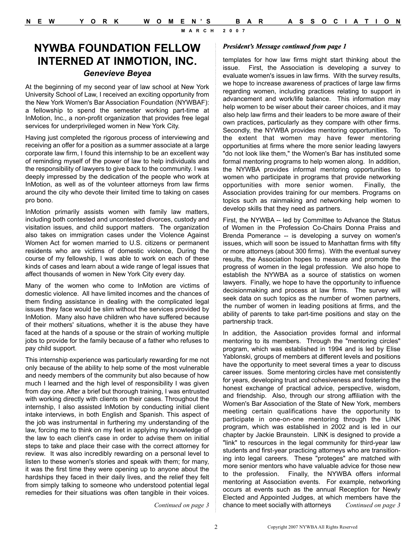**MARCH 2007**

## **NYWBA FOUNDATION FELLOW INTERNED AT INMOTION, INC.** *Genevieve Beyea*

At the beginning of my second year of law school at New York University School of Law, I received an exciting opportunity from the New York Women's Bar Association Foundation (NYWBAF): a fellowship to spend the semester working part-time at InMotion, Inc., a non-profit organization that provides free legal services for underprivileged women in New York City.

Having just completed the rigorous process of interviewing and receiving an offer for a position as a summer associate at a large corporate law firm, I found this internship to be an excellent way of reminding myself of the power of law to help individuals and the responsibility of lawyers to give back to the community. I was deeply impressed by the dedication of the people who work at InMotion, as well as of the volunteer attorneys from law firms around the city who devote their limited time to taking on cases pro bono.

InMotion primarily assists women with family law matters, including both contested and uncontested divorces, custody and visitation issues, and child support matters. The organization also takes on immigration cases under the Violence Against Women Act for women married to U.S. citizens or permanent residents who are victims of domestic violence, During the course of my fellowship, I was able to work on each of these kinds of cases and learn about a wide range of legal issues that affect thousands of women in New York City every day.

Many of the women who come to InMotion are victims of domestic violence. All have limited incomes and the chances of them finding assistance in dealing with the complicated legal issues they face would be slim without the services provided by InMotion. Many also have children who have suffered because of their mothers' situations, whether it is the abuse they have faced at the hands of a spouse or the strain of working multiple jobs to provide for the family because of a father who refuses to pay child support.

This internship experience was particularly rewarding for me not only because of the ability to help some of the most vulnerable and needy members of the community but also because of how much I learned and the high level of responsibility I was given from day one. After a brief but thorough training, I was entrusted with working directly with clients on their cases. Throughout the internship, I also assisted lnMotion by conducting initial client intake interviews, in both English and Spanish. This aspect of the job was instrumental in furthering my understanding of the law, forcing me to think on my feet in applying my knowledge of the law to each client's case in order to advise them on initial steps to take and place their case with the correct attorney for review. It was also incredibly rewarding on a personal level to listen to these women's stories and speak with them; for many, it was the first time they were opening up to anyone about the hardships they faced in their daily lives, and the relief they felt from simply talking to someone who understood potential legal remedies for their situations was often tangible in their voices.

*President's Message continued from page 1*

templates for how law firms might start thinking about the issue. First, the Association is developing a survey to evaluate women's issues in law firms. With the survey results, we hope to increase awareness of practices of large law firms regarding women, including practices relating to support in advancement and work/life balance. This information may help women to be wiser about their career choices, and it may also help law firms and their leaders to be more aware of their own practices, particularly as they compare with other firms. Secondly, the NYWBA provides mentoring opportunities. To the extent that women may have fewer mentoring opportunities at firms where the more senior leading lawyers "do not look like them," the Women's Bar has instituted some formal mentoring programs to help women along. In addition, the NYWBA provides informal mentoring opportunities to women who participate in programs that provide networking opportunities with more senior women. Finally, the Association provides training for our members. Programs on topics such as rainmaking and networking help women to develop skills that they need as partners.

First, the NYWBA -- led by Committee to Advance the Status of Women in the Profession Co-Chairs Donna Praiss and Brenda Pomerance -- is developing a survey on women's issues, which will soon be issued to Manhattan firms with fifty or more attorneys (about 300 firms). With the eventual survey results, the Association hopes to measure and promote the progress of women in the legal profession. We also hope to establish the NYWBA as a source of statistics on women lawyers. Finally, we hope to have the opportunity to influence decisionmaking and process at law firms. The survey will seek data on such topics as the number of women partners, the number of women in leading positions at firms, and the ability of parents to take part-time positions and stay on the partnership track.

In addition, the Association provides formal and informal mentoring to its members. Through the "mentoring circles" program, which was established in 1994 and is led by Elise Yablonski, groups of members at different levels and positions have the opportunity to meet several times a year to discuss career issues. Some mentoring circles have met consistently for years, developing trust and cohesiveness and fostering the honest exchange of practical advice, perspective, wisdom, and friendship. Also, through our strong affiliation with the Women's Bar Association of the State of New York, members meeting certain qualifications have the opportunity to participate in one-on-one mentoring through the LINK program, which was established in 2002 and is led in our chapter by Jackie Braunstein. LINK is designed to provide a "link" to resources in the legal community for third-year law students and first-year practicing attorneys who are transitioning into legal careers. These "proteges" are matched with more senior mentors who have valuable advice for those new to the profession. Finally, the NYWBA offers informal mentoring at Association events. For example, networking occurs at events such as the annual Reception for Newly Elected and Appointed Judges, at which members have the chance to meet socially with attorneys *Continued on page 3*

*Continued on page 3*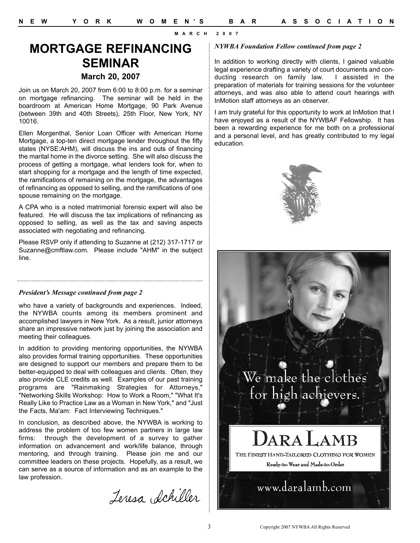**MARCH 2007**

## **MORTGAGE REFINANCING SEMINAR March 20, 2007**

Join us on March 20, 2007 from 6:00 to 8:00 p.m. for a seminar on mortgage refinancing. The seminar will be held in the boardroom at American Home Mortgage, 90 Park Avenue (between 39th and 40th Streets), 25th Floor, New York, NY 10016.

Ellen Morgenthal, Senior Loan Officer with American Home Mortgage, a top-ten direct mortgage lender throughout the fifty states (NYSE:AHM), will discuss the ins and outs of financing the marital home in the divorce setting. She will also discuss the process of getting a mortgage, what lenders look for, when to start shopping for a mortgage and the length of time expected, the ramifications of remaining on the mortgage, the advantages of refinancing as opposed to selling, and the ramifications of one spouse remaining on the mortgage.

A CPA who is a noted matrimonial forensic expert will also be featured. He will discuss the tax implications of refinancing as opposed to selling, as well as the tax and saving aspects associated with negotiating and refinancing.

Please RSVP only if attending to Suzanne at (212) 317-1717 or Suzanne@cmftlaw.com. Please include "AHM" in the subject line.

#### *President's Message continued from page 2*

who have a variety of backgrounds and experiences. Indeed, the NYWBA counts among its members prominent and accomplished lawyers in New York. As a result, junior attorneys share an impressive network just by joining the association and meeting their colleagues.

In addition to providing mentoring opportunities, the NYWBA also provides formal training opportunities. These opportunities are designed to support our members and prepare them to be better-equipped to deal with colleagues and clients. Often, they also provide CLE credits as well. Examples of our past training programs are "Rainmaking Strategies for Attorneys," "Networking Skills Workshop: How to Work a Room," "What It's Really Like to Practice Law as a Woman in New York," and "Just the Facts, Ma'am: Fact Interviewing Techniques."

In conclusion, as described above, the NYWBA is working to address the problem of too few women partners in large law firms: through the development of a survey to gather information on advancement and work/life balance, through mentoring, and through training. Please join me and our committee leaders on these projects. Hopefully, as a result, we can serve as a source of information and as an example to the law profession.

Jeresa Achiller

#### *NYWBA Foundation Fellow continued from page 2*

In addition to working directly with clients, I gained valuable legal experience drafting a variety of court documents and conducting research on family law. I assisted in the preparation of materials for training sessions for the volunteer attorneys, and was also able to attend court hearings with InMotion staff attorneys as an observer.

I am truly grateful for this opportunity to work at InMotion that I have enjoyed as a result of the NYWBAF Fellowship. It has been a rewarding experience for me both on a professional and a personal level, and has greatly contributed to my legal education.